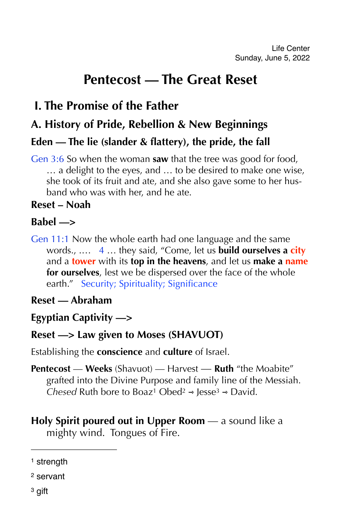# **Pentecost — The Great Reset**

# **I. The Promise of the Father**

# **A. History of Pride, Rebellion & New Beginnings**

# **Eden — The lie (slander & flattery), the pride, the fall**

Gen 3:6 So when the woman **saw** that the tree was good for food, … a delight to the eyes, and … to be desired to make one wise, she took of its fruit and ate, and she also gave some to her husband who was with her, and he ate.

### **Reset – Noah**

#### **Babel —>**

Gen 11:1 Now the whole earth had one language and the same words., .… 4 … they said, "Come, let us **build ourselves a city** and a **tower** with its **top in the heavens**, and let us **make a name for ourselves**, lest we be dispersed over the face of the whole earth." Security; Spirituality; Significance

#### **Reset — Abraham**

**Egyptian Captivity —>** 

## **Reset —> Law given to Moses (SHAVUOT)**

Establishing the **conscience** and **culture** of Israel.

- <span id="page-0-5"></span><span id="page-0-4"></span><span id="page-0-3"></span>**Pentecost** — **Weeks** (Shavuot) — Harvest — **Ruth** "the Moabite" grafted into the Divine Purpose and family line of the Messiah. *Chesed*Ruth bore to Boaz<sup>1</sup> Obed<sup>[2](#page-0-1)</sup>  $\rightarrow$  Jesse<sup>[3](#page-0-2)</sup>  $\rightarrow$  David.
- **Holy Spirit poured out in Upper Room** a sound like a mighty wind. Tongues of Fire.

<span id="page-0-0"></span>[<sup>1</sup>](#page-0-3) strength

<span id="page-0-2"></span><span id="page-0-1"></span>[<sup>2</sup>](#page-0-4) servant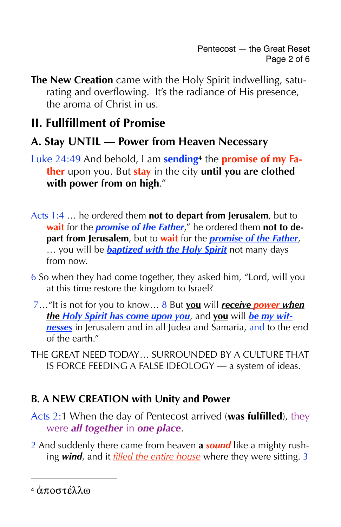**The New Creation** came with the Holy Spirit indwelling, saturating and overflowing. It's the radiance of His presence, the aroma of Christ in us.

# **II. Fullfillment of Promise**

# **A. Stay UNTIL — Power from Heaven Necessary**

- <span id="page-1-1"></span>Luke 24:49 And behold, I am **sendin[g4](#page-1-0)** the **promise of my Father** upon you. But **stay** in the city **until you are clothed with power from on high**."
- Acts 1:4 … he ordered them **not to depart from Jerusalem**, but to **wait** for the *promise of the Father*," he ordered them **not to depart from Jerusalem**, but to **wait** for the *promise of the Father*, … you will be *baptized with the Holy Spirit* not many days from now.
- 6 So when they had come together, they asked him, "Lord, will you at this time restore the kingdom to Israel?
- 7…"It is not for you to know… 8 But **you** will *receive power when the Holy Spirit has come upon you*, and **you** will *be my witnesses* in Jerusalem and in all Judea and Samaria, and to the end of the earth."
- THE GREAT NEED TODAY… SURROUNDED BY A CULTURE THAT IS FORCE FEEDING A FALSE IDEOLOGY — a system of ideas.

# **B. A NEW CREATION with Unity and Power**

- Acts 2:1 When the day of Pentecost arrived (**was fulfilled**), they were *all together* in *one place*.
- 2 And suddenly there came from heaven **a** *sound* like a mighty rushing *wind*, and it *filled the entire house* where they were sitting. 3

<span id="page-1-0"></span> $4 \dot{\alpha} \pi$  $4 \dot{\alpha} \pi$ ρστέλλω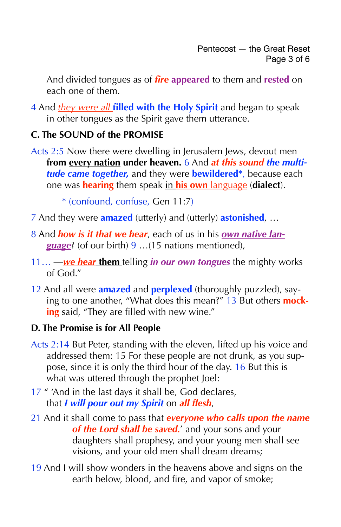And divided tongues as of *fire* **appeared** to them and **rested** on each one of them.

4 And *they were all* **filled with the Holy Spirit** and began to speak in other tongues as the Spirit gave them utterance.

#### **C. The SOUND of the PROMISE**

Acts 2:5 Now there were dwelling in Jerusalem Jews, devout men **from every nation under heaven.** 6 And *at this sound the multitude came together,* and they were **bewildered\***, because each one was **hearing** them speak in **his own** language (**dialect**).

\* (confound, confuse, Gen 11:7)

- 7 And they were **amazed** (utterly) and (utterly) **astonished**, …
- 8 And *how is it that we hear*, each of us in his *own native language*? (of our birth) 9 …(15 nations mentioned),
- 11… —*we hear* **them** telling *in our own tongues* the mighty works of God."
- 12 And all were **amazed** and **perplexed** (thoroughly puzzled), saying to one another, "What does this mean?" 13 But others **mocking** said, "They are filled with new wine."

#### **D. The Promise is for All People**

- Acts 2:14 But Peter, standing with the eleven, lifted up his voice and addressed them: 15 For these people are not drunk, as you suppose, since it is only the third hour of the day. 16 But this is what was uttered through the prophet Joel:
- 17 " 'And in the last days it shall be, God declares, that *I will pour out my Spirit* on *all flesh*,
- 21 And it shall come to pass that *everyone who calls upon the name of the Lord shall be saved.*' and your sons and your daughters shall prophesy, and your young men shall see visions, and your old men shall dream dreams;
- 19 And I will show wonders in the heavens above and signs on the earth below, blood, and fire, and vapor of smoke;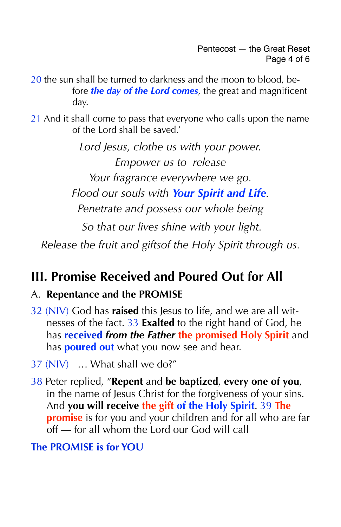- 20 the sun shall be turned to darkness and the moon to blood, before *the day of the Lord comes*, the great and magnificent day.
- 21 And it shall come to pass that everyone who calls upon the name of the Lord shall be saved.'

*Lord Jesus, clothe us with your power. Empower us to release Your fragrance everywhere we go. Flood our souls with Your Spirit and Life. Penetrate and possess our whole being So that our lives shine with your light.* 

*Release the fruit and giftsof the Holy Spirit through us.* 

# **III. Promise Received and Poured Out for All**

## A. **Repentance and the PROMISE**

- 32 (NIV) God has **raised** this Jesus to life, and we are all witnesses of the fact. 33 **Exalted** to the right hand of God, he has **received** *from the Father* **the promised Holy Spirit** and has **poured out** what you now see and hear.
- 37 (NIV) … What shall we do?"
- 38 Peter replied, "**Repent** and **be baptized**, **every one of you**, in the name of Jesus Christ for the forgiveness of your sins. And **you will receive the gift of the Holy Spirit**. 39 **The promise** is for you and your children and for all who are far off — for all whom the Lord our God will call

## **The PROMISE is for YOU**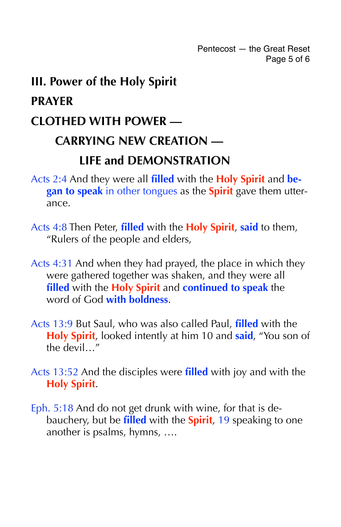Pentecost — the Great Reset Page 5 of 6

# **III. Power of the Holy Spirit PRAYER CLOTHED WITH POWER — CARRYING NEW CREATION — LIFE and DEMONSTRATION**

- Acts 2:4 And they were all **filled** with the **Holy Spirit** and **began to speak** in other tongues as the **Spirit** gave them utterance.
- Acts 4:8 Then Peter, **filled** with the **Holy Spirit**, **said** to them, "Rulers of the people and elders,
- Acts 4:31 And when they had prayed, the place in which they were gathered together was shaken, and they were all **filled** with the **Holy Spirit** and **continued to speak** the word of God **with boldness**.
- Acts 13:9 But Saul, who was also called Paul, **filled** with the **Holy Spirit**, looked intently at him 10 and **said**, "You son of the devil…"
- Acts 13:52 And the disciples were **filled** with joy and with the **Holy Spirit**.
- Eph. 5:18 And do not get drunk with wine, for that is debauchery, but be **filled** with the **Spirit**, 19 speaking to one another is psalms, hymns, ….